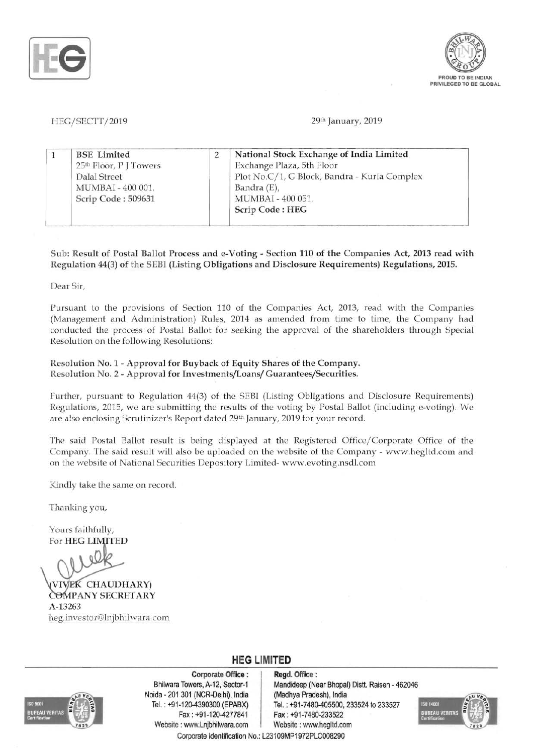



HEG/SECTT/2019 29th January, 2019

| <b>BSE</b> Limited                 |  | National Stock Exchange of India Limited     |
|------------------------------------|--|----------------------------------------------|
| 25 <sup>th</sup> Floor, P J Towers |  | Exchange Plaza, 5th Floor                    |
| Dalal Street                       |  | Plot No.C/1, G Block, Bandra - Kurla Complex |
| MUMBAI-400 001.                    |  | Bandra (E),                                  |
| Scrip Code: 509631                 |  | MUMBAI - 400 051.                            |
|                                    |  | Scrip Code: HEG                              |

Sub: Result of Postal Ballot Process and e-Voting - Section 110 of the Companies Act, 2013 read with Regulation 44(3) of the SEBI (Listing Obligations and Disclosure Requirements) Regulations, 2015.

Dear Sir,

Pursuant to the provisions of Section 110 of the Companies Act, 2013, read with the Companies (Management and Administration) Rules, 2014 as amended from time to time, the Company had conducted the process of Postal Ballot for seeking the approval of the shareholders through Special Resolution on the following Resolutions:

### Resolution No. 1 - Approval for Buyback of Equity Shares of the Company. Resolution No. 2 - Approval for Investments/Loans/ Guarantees/Securities.

Further, pursuant to Regulation 44(3) of the SEBI (Listing Obligations and Disclosure Requirements) Regulations, 2015, we are submitting the results of the voting by Postal Ballot (including e-voting). We are also enclosing Scrutinizer's Report dated 29th January, 2019 for your record.

The said Postal Ballot result is being displayed at the Registered Office/Corporate Office of the Company. The said result will also be uploaded on the website of the Company - www.hegltd.com and on the website of National Securities Depository Limited- www.evoting.nsdl.com

Kindly take the same on record.

Thanking you,

Yours faithfully, For HEG LIMITED

VIVEK CHAUDHARY) COMPANY SECRETARY A-13263 heg.investor@lnjbhilwara.com



Corporate Office : | Regd. Office : Noida 201 301 (NCR-Delhi), India (Madhya Pradesh), India Fax: +91 -120-4277841 Fax: +91-7480-233522 Website : www.Lnjbhilwara.com | Website : www.hegltd.com

Bhilwara Towers, A-12, Sector-1 | Mandideep (Near Bhopal) Distt. Raisen - 462046 Tel. : +91-120-4390300 (EPABX) Tel. : +91-7480-405500, 233524 to 233527



**HEG LIMITED**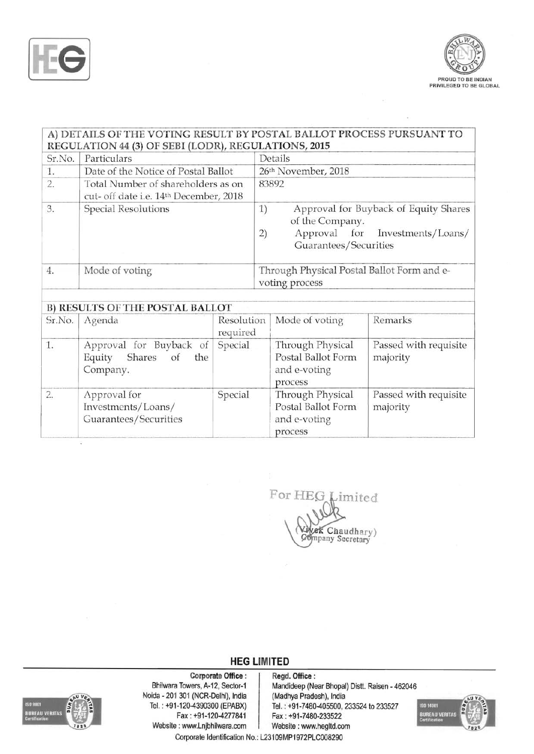



## A) DETAILS OF THE VOTING RESULT BY POSTAL BALLOT PROCESS PURSUANT TO REGULATION 44 (3) OF SEBI (LODR), REGULATIONS, 2015

| Sr.No. | Particulars                                                                  |                        | Details                                                              |                                                             |  |
|--------|------------------------------------------------------------------------------|------------------------|----------------------------------------------------------------------|-------------------------------------------------------------|--|
| 1.     | Date of the Notice of Postal Ballot                                          |                        | 26th November, 2018                                                  |                                                             |  |
| 2.     | Total Number of shareholders as on<br>cut- off date i.e. 14th December, 2018 |                        | 83892                                                                |                                                             |  |
| 3.     | <b>Special Resolutions</b>                                                   |                        | 1)<br>of the Company.<br>Approval for<br>2)<br>Guarantees/Securities | Approval for Buyback of Equity Shares<br>Investments/Loans/ |  |
| 4.     | Mode of voting                                                               |                        | Through Physical Postal Ballot Form and e-<br>voting process         |                                                             |  |
|        | <b>B) RESULTS OF THE POSTAL BALLOT</b>                                       |                        |                                                                      |                                                             |  |
| Sr.No. | Agenda                                                                       | Resolution<br>required | Mode of voting                                                       | Remarks                                                     |  |
| 1.     | Approval for Buyback of<br>Equity<br>Shares<br>the<br>of<br>Company.         | Special                | Through Physical<br>Postal Ballot Form<br>and e-voting<br>process    | Passed with requisite<br>majority                           |  |
| 2.     | Approval for<br>Investments/Loans/<br>Guarantees/Securities                  | Special                | Through Physical<br>Postal Ballot Form<br>and e-voting<br>process    | Passed with requisite<br>majority                           |  |

For HEG imited **Vivek Chaudhary**)<br>Company Secretary

## **HEG LIMITED**



Corporate Office: Regd. Office:<br>Bhilwara Towers, A-12, Sector-1 Mandideep (Ne Noida - 201 301 (NCR-Delhi), India (Madhya Pradesh), India Tel.: +91-120-4390300 (EPABX) Tel.: +91-7480-405500, 2 Website: www.Lnjbhilwara.com | Website: www.hegltd.com

Mandideep (Near Bhopal) Distt. Raisen - 462046 1-120-4390300 (EPABX) Tel.: +91-7480-405500, 233524 to 233527<br>Fax: +91-120-4277841 Fax: +91-7480-233522 Fax: +91-7480-233522



Corporate Identification No.: L23109MP1972PLC008290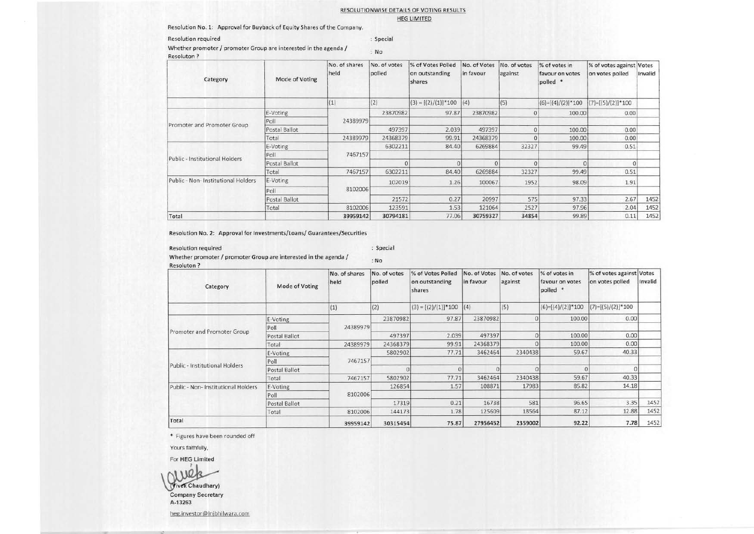### RESOLUTIONWISE DETAilS OF VOTING RESULTS HEG LIMITED

Resolution No.1: Approval for Buyback of Equity Shares of the Company.

### Resolution required Special Special Special Special Special Special Special Special Special Special Special Special Special Special Special Special Special Special Special Special Special Special Special Special Special Sp

Whether promoter / promoter Group are interested in the agenda / No Resoluton?

| Category                            | Mode of Voting | No. of shares<br>held | No. of votes<br>polled | % of Votes Polled<br>on outstanding<br>shares | No. of Votes<br>in favour | No. of votes<br>against | % of votes in<br>favour on votes<br>polled * | % of votes against Votes<br>on votes polled | Invalid |
|-------------------------------------|----------------|-----------------------|------------------------|-----------------------------------------------|---------------------------|-------------------------|----------------------------------------------|---------------------------------------------|---------|
|                                     |                | (1)                   | (2)                    | $(3) = [(2)/(1)]^{*}100$                      | (4)                       | (5)                     | $(6)=[(4)/(2)]*100$                          | $(7)=[(5)/(2)]*100$                         |         |
|                                     | E-Voting       |                       | 23870982               | 97.87                                         | 23870982                  |                         | 100.00                                       | 0.00                                        |         |
|                                     | Poll           | 24389979              |                        |                                               |                           |                         |                                              |                                             |         |
| Promoter and Promoter Group         | Postal Ballot  |                       | 497397                 | 2.039                                         | 497397                    |                         | 100.00                                       | 0.00                                        |         |
|                                     | Total          | 24389979              | 24368379               | 99.91                                         | 24368379                  |                         | 100.00                                       | 0.00                                        |         |
|                                     | E-Voting       |                       | 6302211                | 84.40                                         | 6269884                   | 32327                   | 99.49                                        | 0.51                                        |         |
| Public - Institutional Holders      | Poll           | 7467157               |                        |                                               |                           |                         |                                              |                                             |         |
|                                     | Postal Ballot  |                       |                        | 0                                             |                           |                         |                                              |                                             |         |
|                                     | Total          | 7467157               | 6302211                | 84.40                                         | 6269884                   | 32327                   | 99.49                                        | 0.51                                        |         |
| Public - Non- Institutional Holders | E-Voting       |                       | 102019                 | 1.26                                          | 100067                    | 1952                    | 98.09                                        | 1.91                                        |         |
|                                     | Poll           | 8102006               |                        |                                               |                           |                         |                                              |                                             |         |
|                                     | Postal Ballot  |                       | 21572                  | 0.27                                          | 20997                     | 575                     | 97.33                                        | 2.67                                        | 1452    |
|                                     | Total          | 8102006               | 123591                 | 1.53                                          | 121064                    | 2527                    | 97.96                                        | 2.04                                        | 1452    |
| Total                               |                | 39959142              | 30794181               | 77.06                                         | 30759327                  | 34854                   | 99.89                                        | 0.11                                        | 1452    |

Resolution No.2: Approval for Investments/Loans/ Guarantees/Securities

Resolution required : Special : Special : Special : Special : Special : Special : Special : Special : Special : Special : Special : Special : Special : Special : Special : Special : Special : Special : Special : Special : Whether promoter / promoter Group are interested in the agenda /  $\cdot$ No Resoluton?

| Category                            | Mode of Voting | No. of shares<br>held | No. of votes<br>polled | % of Votes Polled<br>on outstanding<br>shares | No. of Votes<br>in favour | No. of votes<br>against | % of votes in<br>favour on votes<br>polled * | % of votes against Votes<br>on votes polled | Invalid              |  |
|-------------------------------------|----------------|-----------------------|------------------------|-----------------------------------------------|---------------------------|-------------------------|----------------------------------------------|---------------------------------------------|----------------------|--|
|                                     |                | (1)                   | (2)                    | $(3) = [(2)/(1)]$ <sup>*</sup> 100            | (4)                       | (5)                     | $(6)=[(4)/(2)]*100$                          | $(7)=[(5)/(2)]^*100$                        |                      |  |
|                                     | E-Voting       |                       | 23870982               | 97.87                                         | 23870982                  |                         | 100.00                                       | 0.00                                        |                      |  |
|                                     | Poll           | 24389979              |                        |                                               |                           |                         |                                              |                                             |                      |  |
| Promoter and Promoter Group         | Postal Ballot  |                       | 497397                 | 2.039                                         | 497397                    |                         | 100.00                                       | 0.00                                        |                      |  |
|                                     | Total          | 24389979              | 24368379               | 99.91                                         | 24368379                  |                         | 100.00                                       | 0.00                                        |                      |  |
|                                     | E-Voting       |                       | 5802902                | 77.71                                         | 3462464                   | 2340438                 | 59.67                                        | 40.33                                       |                      |  |
|                                     | Poll           | 7467157               |                        |                                               |                           |                         |                                              |                                             |                      |  |
| Public - Institutional Holders      | Postal Ballot  |                       |                        |                                               |                           |                         |                                              |                                             |                      |  |
|                                     | Total          | 7467157               | 5802902                | 77.71                                         | 3462464                   | 2340438                 | 59.67                                        | 40.33                                       |                      |  |
| Public - Non- Institutional Holders | E-Voting       |                       | 126854                 | 1.57                                          | 108871                    | 17983                   | 85.82                                        | 14.18                                       |                      |  |
|                                     | Poll           | 8102006               |                        |                                               |                           |                         |                                              |                                             | 1452<br>1452<br>1452 |  |
|                                     | Postal Ballot  |                       | 17319                  | 0.21                                          | 16738                     | 581                     | 96.65                                        | 3.35                                        |                      |  |
|                                     | Total          | 8102006               | 144173                 | 1.78                                          | 125609                    | 18564                   | 87.12                                        | 12.88                                       |                      |  |
| Total                               |                | 39959142              | 30315454               | 75.87                                         | 27956452                  |                         | 92.22<br>2359002                             | 7.78                                        |                      |  |

\* Figures have been rounded off

Yours faithfully.

For HEG Limited

~  $1\,m$ (Vivek Chaudhary)

Company Secretary A-13263

heg.investor@ lnjbhilwara.com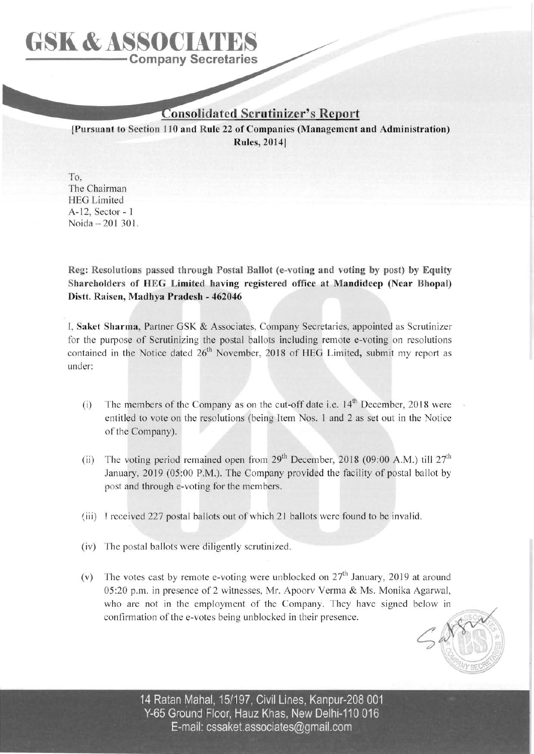# **Company Secretaries GSK & ASSOCIATE**

## **Consolidated Scrutinizer's Report**

**[Pursuant to Section 110 and Rule 22 of Companies (Management and Administration)**  Rules, 2014]

To, The Chairman **HEG Limited** A-I2, Sector - 1 Noida - 201 301.

**Reg: Resolutions passed through Postal Ballot (e-voting and voting by post) by Equity Shareholders of HEG Limited having registered office at Mandideep (Near Bhopal) Distt. Raisen, Madhya Pradesh - 462046** 

I, **Saket Sharma,** Partner GSK & Associates, Company Secretaries, appointed as Scrutinizer for the purpose of Scrutinizing the postal ballots including remote e-voting on resolutions contained in the Notice dated  $26<sup>th</sup>$  November, 2018 of HEG Limited, submit my report as under:

- (i) The members of the Company as on the cut-off date i.e.  $14<sup>th</sup>$  December, 2018 were entitled to vote on the resolutions (being Item Nos. 1 and 2 as set out in the Notice of the Company).
- (ii) The voting period remained open from  $29<sup>th</sup>$  December, 2018 (09:00 A.M.) till  $27<sup>th</sup>$ January, 2019 (05:00 P.M.). The Company provided the facility of postal ballot by post and through e-voting for the members.
- (iii) I received 227 postal ballots out of which 21 ballots were found to be invalid.
- (iv) The postal ballots were diligently scrutinized.
- (v) The votes cast by remote e-voting were unblocked on *2ih* January, 2019 at around 05 :20 p.m. in presence of 2 witnesses, Mr. Apoorv Verma & Ms. Monika Agarwal, who are not in the employment of the Company. They have signed below in confirmation of the e-votes being unblocked in their presence.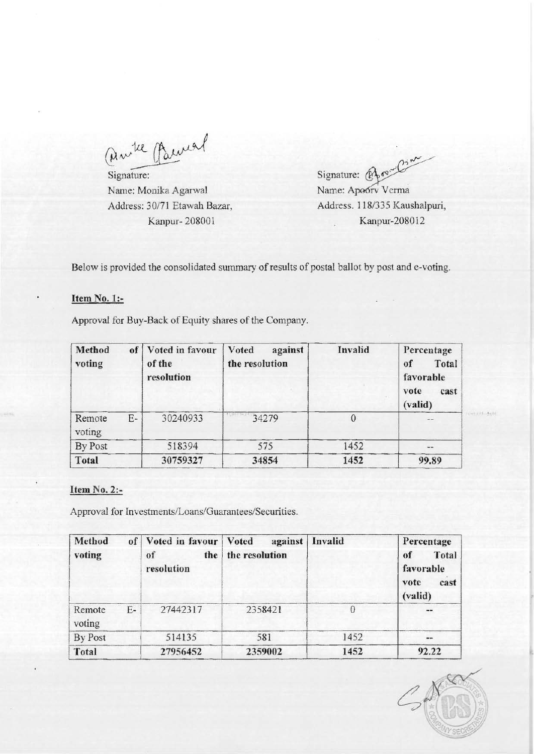ambe Parmel

Name: Monika Agarwal Name: Apoorv Verma

Signature:  $\bigotimes_{\mathbb{R}} \mathfrak{O}^{\mathfrak{so}}$ Address: 30/71 Etawah Bazar, Address. 118/335 Kaushalpuri, Kanpur- 208001 **Kanpur-208012** 

Below is provided the consolidated summary of results of postal ballot by post and e-voting.

## Item No. 1:-

Approval for Buy-Back of Equity shares of the Company.

| Method<br>voting | of | Voted in favour<br>of the<br>resolution | Voted<br>against<br>the resolution | Invalid  | Percentage<br>Total<br>of<br>favorable<br>vote<br>cast<br>(valid) |
|------------------|----|-----------------------------------------|------------------------------------|----------|-------------------------------------------------------------------|
| Remote<br>voting | E- | 30240933                                | 34279                              | $\theta$ | $-$                                                               |
| By Post          |    | 518394                                  | 575                                | 1452     | $\cdots$                                                          |
| <b>Total</b>     |    | 30759327                                | 34854                              | 1452     | 99.89                                                             |

## Item No. 2:-

Approval for Investments/Loans/Guarantees/Securities.

| Method<br>voting |      | of   Voted in favour   Voted<br>the<br>of<br>resolution | against<br>the resolution | Invalid | Percentage<br>Total<br>of<br>favorable<br>cast<br>vote<br>(valid) |
|------------------|------|---------------------------------------------------------|---------------------------|---------|-------------------------------------------------------------------|
| Remote<br>voting | $E-$ | 27442317                                                | 2358421                   |         | $\cdots$                                                          |
| By Post          |      | 514135                                                  | 581                       | 1452    | $\cdots$                                                          |
| Total            |      | 27956452                                                | 2359002                   | 1452    | 92.22                                                             |

 $C_{\rm max}$ 

**CERVIL AND**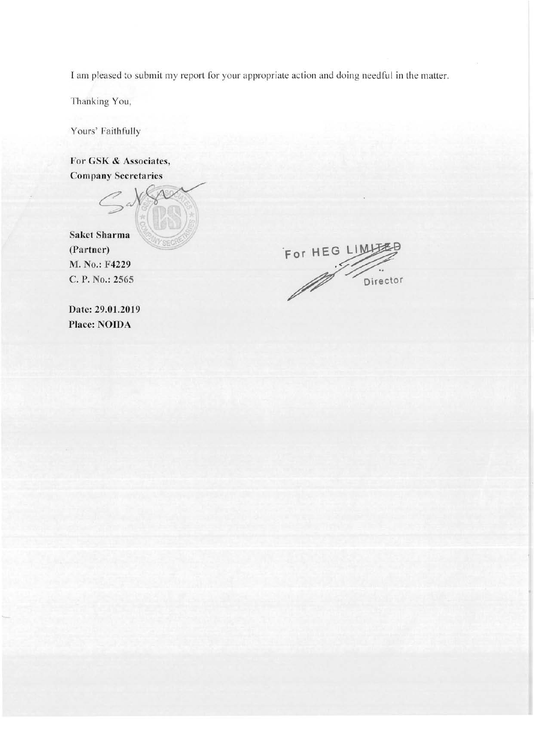I am pleased to submit my report for your appropriate action and doing needful in the matter.

Thanking You,

Yours' Faithfully

**For GSK & Associates, Company Secretaries** 



For HEG LIMITED

**Date: 29.01.2019 Place: NOIDA**